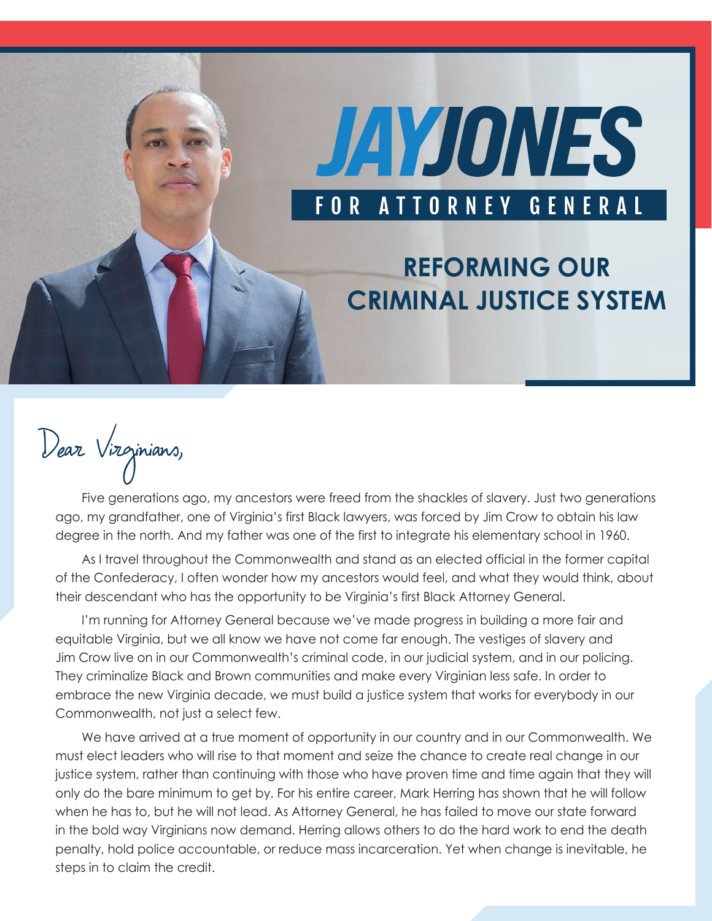# JAY JONES ATTORNEY GENERAL FOR

### **REFORMING OUR CRIMINAL JUSTICE SYSTEM**

Dear Virginians,

Five generations ago, my ancestors were freed from the shackles of slavery. Just two generations ago, my grandfather, one of Virginia's first Black lawyers, was forced by Jim Crow to obtain his law degree in the north. And my father was one of the first to integrate his elementary school in 1960.

As I travel throughout the Commonwealth and stand as an elected official in the former capital of the Confederacy, I often wonder how my ancestors would feel, and what they would think, about their descendant who has the opportunity to be Virginia's first Black Attorney General.

I'm running for Attorney General because we've made progress in building a more fair and equitable Virginia, but we all know we have not come far enough. The vestiges of slavery and Jim Crow live on in our Commonwealth's criminal code, in our judicial system, and in our policing. They criminalize Black and Brown communities and make every Virginian less safe. In order to embrace the new Virginia decade, we must build a justice system that works for everybody in our Commonwealth, not just a select few.

We have arrived at a true moment of opportunity in our country and in our Commonwealth. We must elect leaders who will rise to that moment and seize the chance to create real change in our justice system, rather than continuing with those who have proven time and time again that they will only do the bare minimum to get by. For his entire career, Mark Herring has shown that he will follow when he has to, but he will not lead. As Attorney General, he has failed to move our state forward in the bold way Virginians now demand. Herring allows others to do the hard work to end the death penalty, hold police accountable, or reduce mass incarceration. Yet when change is inevitable, he steps in to claim the credit.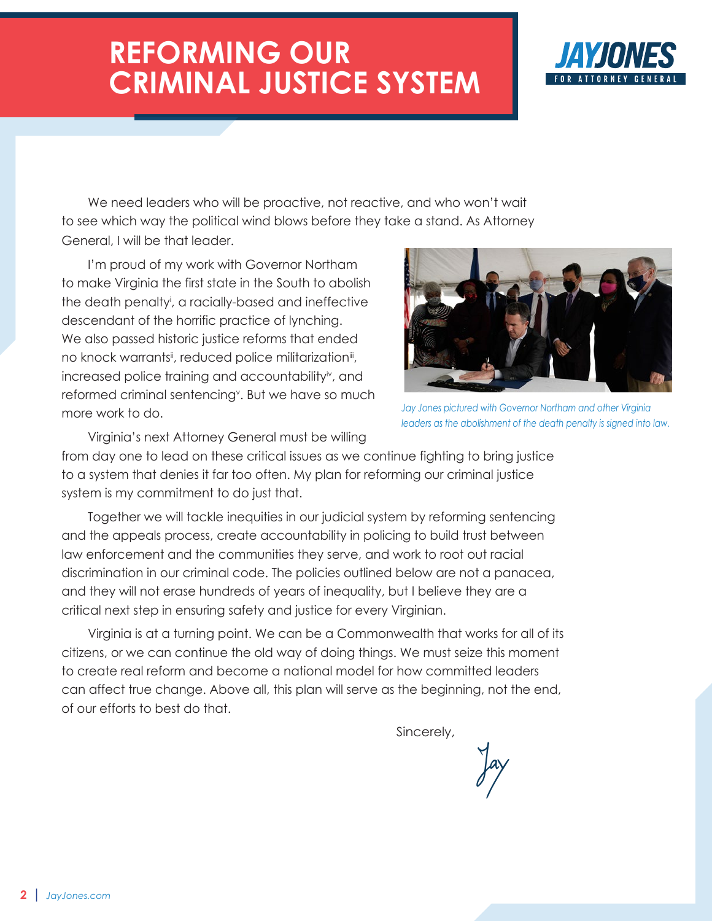

We need leaders who will be proactive, not reactive, and who won't wait to see which way the political wind blows before they take a stand. As Attorney General, I will be that leader.

I'm proud of my work with Governor Northam to make Virginia the first state in the South to abolish the death penaltyi , a racially-based and ineffective descendant of the horrific practice of lynching. We also passed historic justice reforms that ended no knock warrantsii, reduced police militarizationiii, increased police training and accountability<sup>iv</sup>, and reformed criminal sentencing<sup>v</sup>. But we have so much more work to do.



*Jay Jones pictured with Governor Northam and other Virginia leaders as the abolishment of the death penalty is signed into law.*

Virginia's next Attorney General must be willing

from day one to lead on these critical issues as we continue fighting to bring justice to a system that denies it far too often. My plan for reforming our criminal justice system is my commitment to do just that.

Together we will tackle inequities in our judicial system by reforming sentencing and the appeals process, create accountability in policing to build trust between law enforcement and the communities they serve, and work to root out racial discrimination in our criminal code. The policies outlined below are not a panacea, and they will not erase hundreds of years of inequality, but I believe they are a critical next step in ensuring safety and justice for every Virginian.

Virginia is at a turning point. We can be a Commonwealth that works for all of its citizens, or we can continue the old way of doing things. We must seize this moment to create real reform and become a national model for how committed leaders can affect true change. Above all, this plan will serve as the beginning, not the end, of our efforts to best do that.

Sincerely,

Jay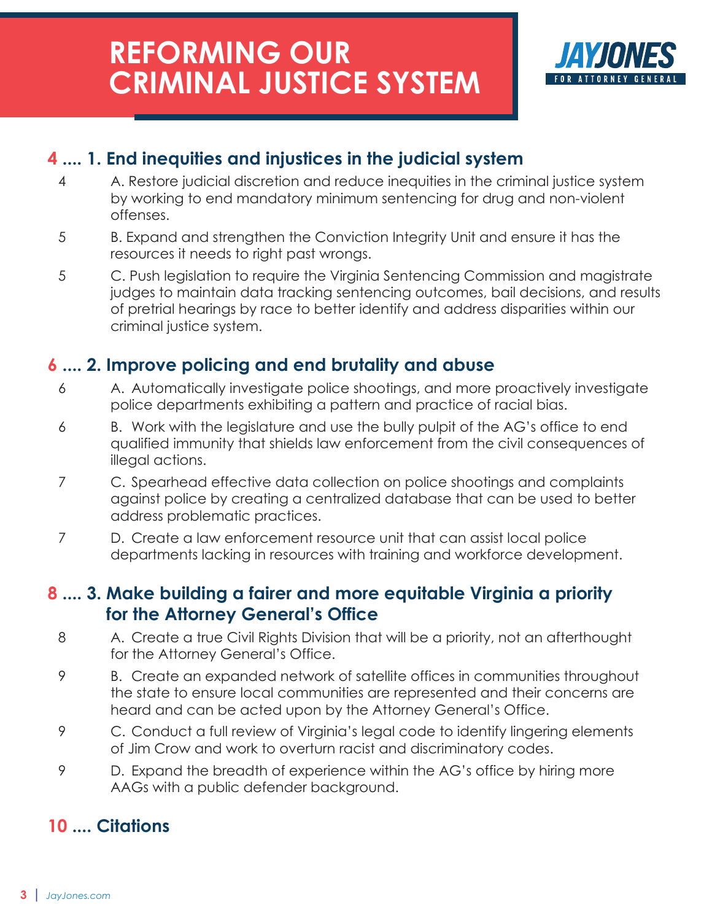

### **4 .... 1. End inequities and injustices in the judicial system**

- 4 A. Restore judicial discretion and reduce inequities in the criminal justice system by working to end mandatory minimum sentencing for drug and non-violent offenses.
- 5 B. Expand and strengthen the Conviction Integrity Unit and ensure it has the resources it needs to right past wrongs.
- 5 C. Push legislation to require the Virginia Sentencing Commission and magistrate judges to maintain data tracking sentencing outcomes, bail decisions, and results of pretrial hearings by race to better identify and address disparities within our criminal justice system.

### **6 .... 2. Improve policing and end brutality and abuse**

- 6 A. Automatically investigate police shootings, and more proactively investigate police departments exhibiting a pattern and practice of racial bias.
- 6 B. Work with the legislature and use the bully pulpit of the AG's office to end qualified immunity that shields law enforcement from the civil consequences of illegal actions.
- 7 C. Spearhead effective data collection on police shootings and complaints against police by creating a centralized database that can be used to better address problematic practices.
- 7 D. Create a law enforcement resource unit that can assist local police departments lacking in resources with training and workforce development.

### **8 .... 3. Make building a fairer and more equitable Virginia a priority for the Attorney General's Office**

- 8 A. Create a true Civil Rights Division that will be a priority, not an afterthought for the Attorney General's Office.
- 9 B. Create an expanded network of satellite offices in communities throughout the state to ensure local communities are represented and their concerns are heard and can be acted upon by the Attorney General's Office.
- 9 C. Conduct a full review of Virginia's legal code to identify lingering elements of Jim Crow and work to overturn racist and discriminatory codes.
- 9 D. Expand the breadth of experience within the AG's office by hiring more AAGs with a public defender background.

### **10 .... Citations**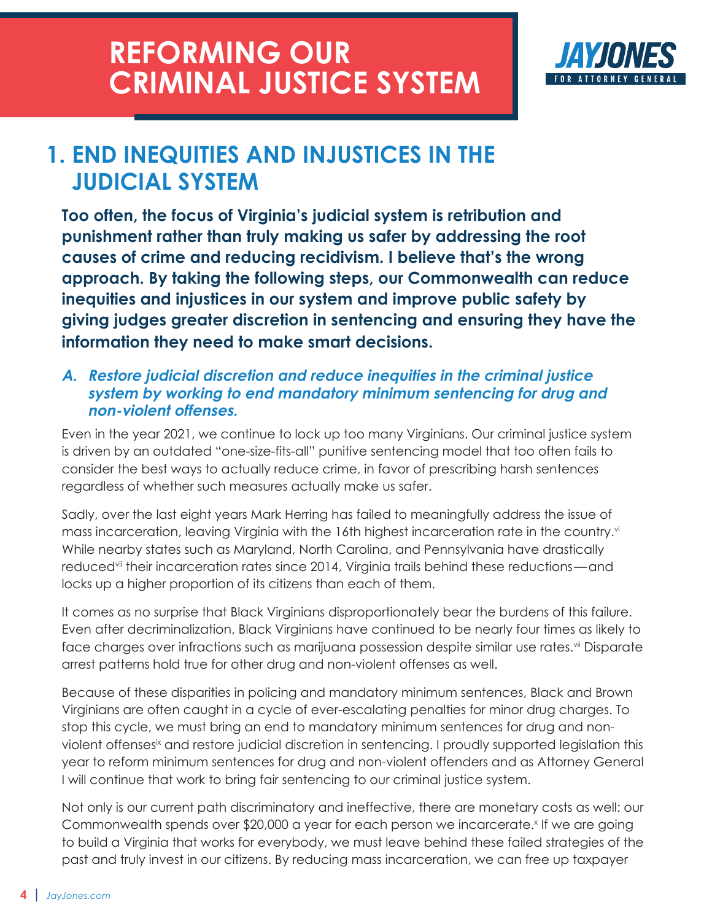

### **1. END INEQUITIES AND INJUSTICES IN THE JUDICIAL SYSTEM**

**Too often, the focus of Virginia's judicial system is retribution and punishment rather than truly making us safer by addressing the root causes of crime and reducing recidivism. I believe that's the wrong approach. By taking the following steps, our Commonwealth can reduce inequities and injustices in our system and improve public safety by giving judges greater discretion in sentencing and ensuring they have the information they need to make smart decisions.**

#### **A. Restore judicial discretion and reduce inequities in the criminal justice system by working to end mandatory minimum sentencing for drug and non-violent offenses.**

Even in the year 2021, we continue to lock up too many Virginians. Our criminal justice system is driven by an outdated "one-size-fits-all" punitive sentencing model that too often fails to consider the best ways to actually reduce crime, in favor of prescribing harsh sentences regardless of whether such measures actually make us safer.

Sadly, over the last eight years Mark Herring has failed to meaningfully address the issue of mass incarceration, leaving Virginia with the 16th highest incarceration rate in the country.<sup>vi</sup> While nearby states such as Maryland, North Carolina, and Pennsylvania have drastically reduced<sup>vii</sup> their incarceration rates since 2014, Virginia trails behind these reductions—and locks up a higher proportion of its citizens than each of them.

It comes as no surprise that Black Virginians disproportionately bear the burdens of this failure. Even after decriminalization, Black Virginians have continued to be nearly four times as likely to face charges over infractions such as marijuana possession despite similar use rates.<sup>vii</sup> Disparate arrest patterns hold true for other drug and non-violent offenses as well.

Because of these disparities in policing and mandatory minimum sentences, Black and Brown Virginians are often caught in a cycle of ever-escalating penalties for minor drug charges. To stop this cycle, we must bring an end to mandatory minimum sentences for drug and nonviolent offenses<sup>ix</sup> and restore judicial discretion in sentencing. I proudly supported legislation this year to reform minimum sentences for drug and non-violent offenders and as Attorney General I will continue that work to bring fair sentencing to our criminal justice system.

Not only is our current path discriminatory and ineffective, there are monetary costs as well: our Commonwealth spends over \$20,000 a year for each person we incarcerate.<sup>x</sup> If we are going to build a Virginia that works for everybody, we must leave behind these failed strategies of the past and truly invest in our citizens. By reducing mass incarceration, we can free up taxpayer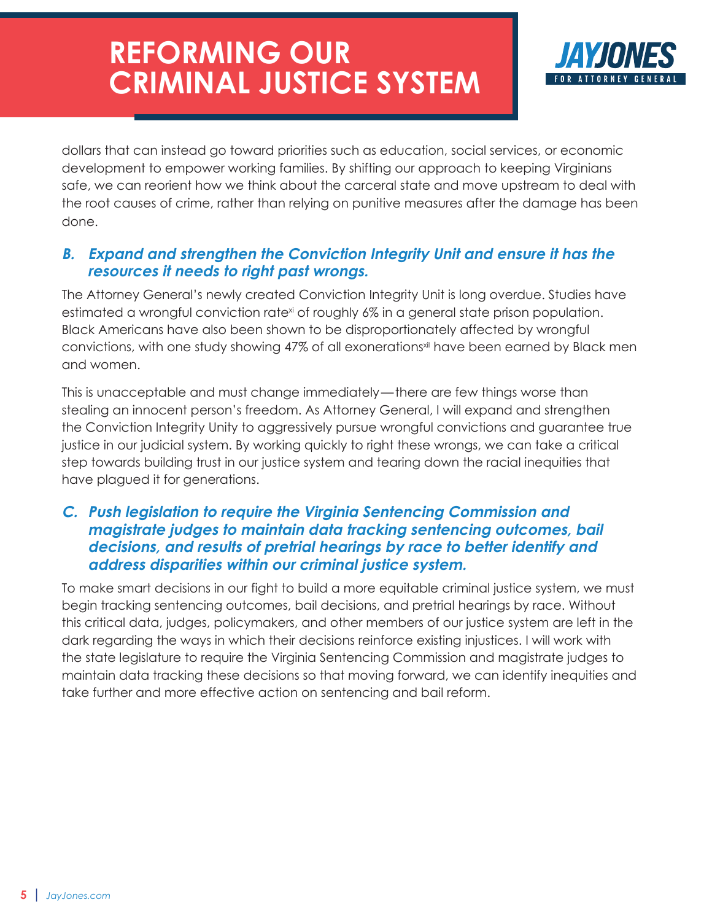

dollars that can instead go toward priorities such as education, social services, or economic development to empower working families. By shifting our approach to keeping Virginians safe, we can reorient how we think about the carceral state and move upstream to deal with the root causes of crime, rather than relying on punitive measures after the damage has been done.

#### **B. Expand and strengthen the Conviction Integrity Unit and ensure it has the resources it needs to right past wrongs.**

The Attorney General's newly created Conviction Integrity Unit is long overdue. Studies have estimated a wrongful conviction rate<sup>xi</sup> of roughly 6% in a general state prison population. Black Americans have also been shown to be disproportionately affected by wrongful convictions, with one study showing 47% of all exonerations<sup>xil</sup> have been earned by Black men and women.

This is unacceptable and must change immediately—there are few things worse than stealing an innocent person's freedom. As Attorney General, I will expand and strengthen the Conviction Integrity Unity to aggressively pursue wrongful convictions and guarantee true justice in our judicial system. By working quickly to right these wrongs, we can take a critical step towards building trust in our justice system and tearing down the racial inequities that have plagued it for generations.

#### **C. Push legislation to require the Virginia Sentencing Commission and magistrate judges to maintain data tracking sentencing outcomes, bail decisions, and results of pretrial hearings by race to better identify and address disparities within our criminal justice system.**

To make smart decisions in our fight to build a more equitable criminal justice system, we must begin tracking sentencing outcomes, bail decisions, and pretrial hearings by race. Without this critical data, judges, policymakers, and other members of our justice system are left in the dark regarding the ways in which their decisions reinforce existing injustices. I will work with the state legislature to require the Virginia Sentencing Commission and magistrate judges to maintain data tracking these decisions so that moving forward, we can identify inequities and take further and more effective action on sentencing and bail reform.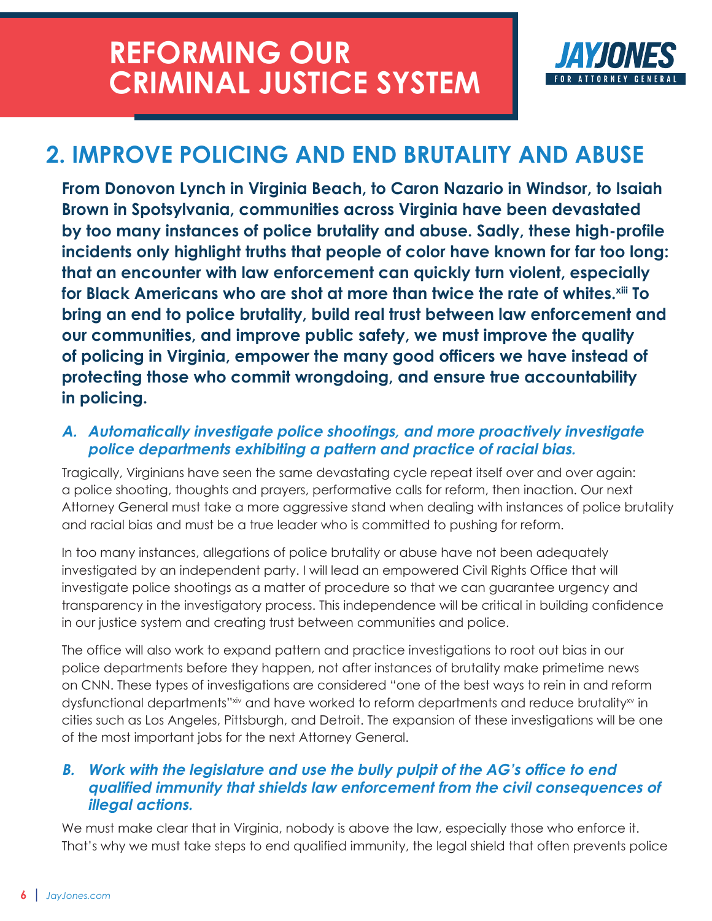

### **2. IMPROVE POLICING AND END BRUTALITY AND ABUSE**

**From Donovon Lynch in Virginia Beach, to Caron Nazario in Windsor, to Isaiah Brown in Spotsylvania, communities across Virginia have been devastated by too many instances of police brutality and abuse. Sadly, these high-profile incidents only highlight truths that people of color have known for far too long: that an encounter with law enforcement can quickly turn violent, especially**  for Black Americans who are shot at more than twice the rate of whites.<sup>xiii</sup> To **bring an end to police brutality, build real trust between law enforcement and our communities, and improve public safety, we must improve the quality of policing in Virginia, empower the many good officers we have instead of protecting those who commit wrongdoing, and ensure true accountability in policing.** 

#### **A. Automatically investigate police shootings, and more proactively investigate police departments exhibiting a pattern and practice of racial bias.**

Tragically, Virginians have seen the same devastating cycle repeat itself over and over again: a police shooting, thoughts and prayers, performative calls for reform, then inaction. Our next Attorney General must take a more aggressive stand when dealing with instances of police brutality and racial bias and must be a true leader who is committed to pushing for reform.

In too many instances, allegations of police brutality or abuse have not been adequately investigated by an independent party. I will lead an empowered Civil Rights Office that will investigate police shootings as a matter of procedure so that we can guarantee urgency and transparency in the investigatory process. This independence will be critical in building confidence in our justice system and creating trust between communities and police.

The office will also work to expand pattern and practice investigations to root out bias in our police departments before they happen, not after instances of brutality make primetime news on CNN. These types of investigations are considered "one of the best ways to rein in and reform dysfunctional departments"xiv and have worked to reform departments and reduce brutalityxv in cities such as Los Angeles, Pittsburgh, and Detroit. The expansion of these investigations will be one of the most important jobs for the next Attorney General.

#### **B. Work with the legislature and use the bully pulpit of the AG's office to end qualified immunity that shields law enforcement from the civil consequences of illegal actions.**

We must make clear that in Virginia, nobody is above the law, especially those who enforce it. That's why we must take steps to end qualified immunity, the legal shield that often prevents police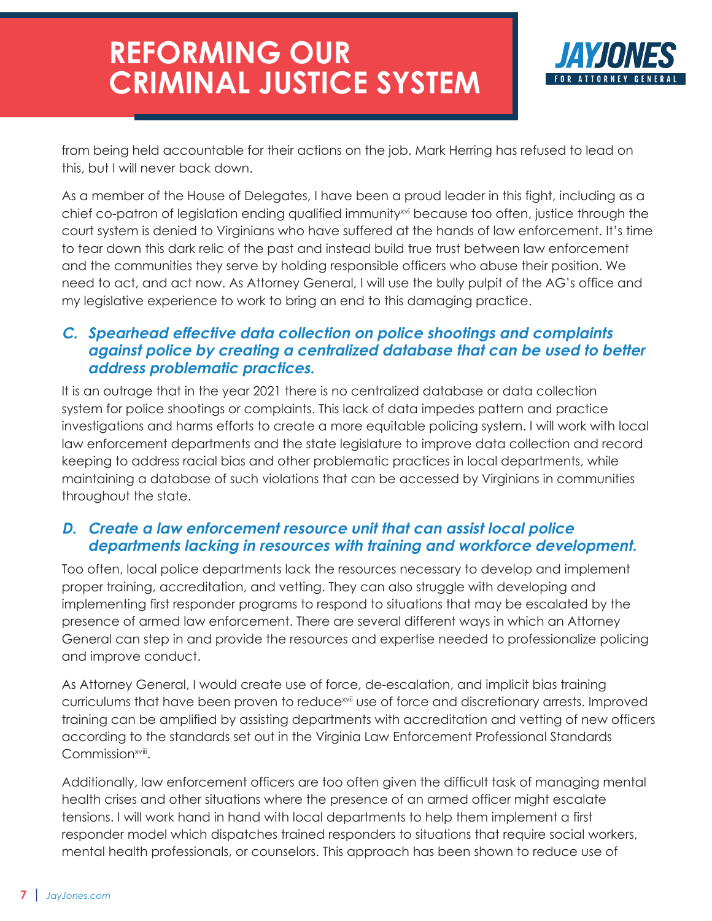

from being held accountable for their actions on the job. Mark Herring has refused to lead on this, but I will never back down.

As a member of the House of Delegates, I have been a proud leader in this fight, including as a chief co-patron of legislation ending qualified immunityxvi because too often, justice through the court system is denied to Virginians who have suffered at the hands of law enforcement. It's time to tear down this dark relic of the past and instead build true trust between law enforcement and the communities they serve by holding responsible officers who abuse their position. We need to act, and act now. As Attorney General, I will use the bully pulpit of the AG's office and my legislative experience to work to bring an end to this damaging practice.

#### **C. Spearhead effective data collection on police shootings and complaints against police by creating a centralized database that can be used to better address problematic practices.**

It is an outrage that in the year 2021 there is no centralized database or data collection system for police shootings or complaints. This lack of data impedes pattern and practice investigations and harms efforts to create a more equitable policing system. I will work with local law enforcement departments and the state legislature to improve data collection and record keeping to address racial bias and other problematic practices in local departments, while maintaining a database of such violations that can be accessed by Virginians in communities throughout the state.

#### **D. Create a law enforcement resource unit that can assist local police departments lacking in resources with training and workforce development.**

Too often, local police departments lack the resources necessary to develop and implement proper training, accreditation, and vetting. They can also struggle with developing and implementing first responder programs to respond to situations that may be escalated by the presence of armed law enforcement. There are several different ways in which an Attorney General can step in and provide the resources and expertise needed to professionalize policing and improve conduct.

As Attorney General, I would create use of force, de-escalation, and implicit bias training curriculums that have been proven to reduce<sup>xvii</sup> use of force and discretionary arrests. Improved training can be amplified by assisting departments with accreditation and vetting of new officers according to the standards set out in the Virginia Law Enforcement Professional Standards Commission<sup>xviii</sup>.

Additionally, law enforcement officers are too often given the difficult task of managing mental health crises and other situations where the presence of an armed officer might escalate tensions. I will work hand in hand with local departments to help them implement a first responder model which dispatches trained responders to situations that require social workers, mental health professionals, or counselors. This approach has been shown to reduce use of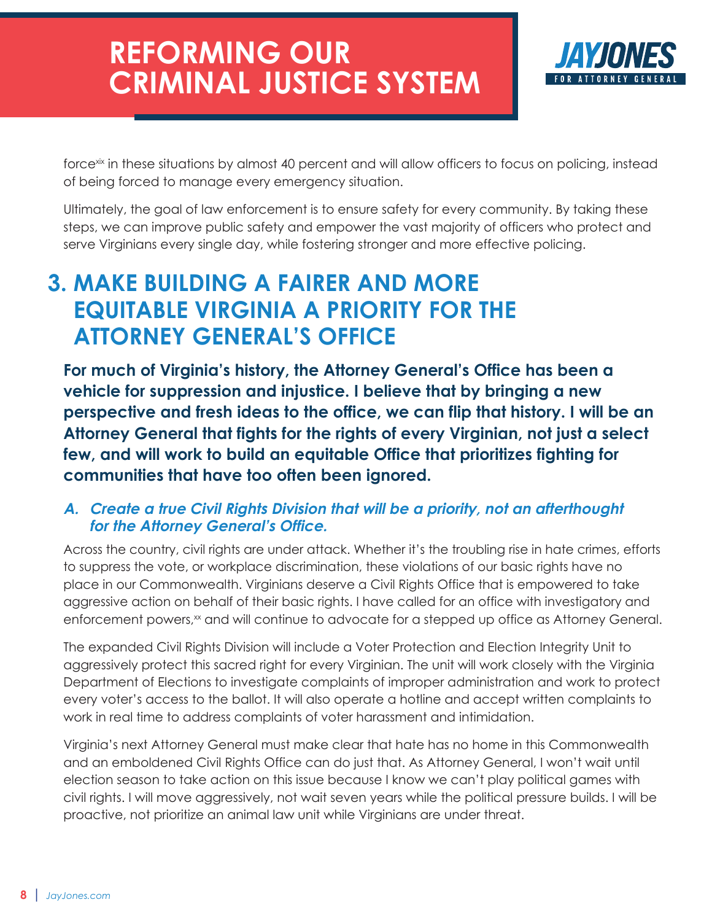

forcexix in these situations by almost 40 percent and will allow officers to focus on policing, instead of being forced to manage every emergency situation.

Ultimately, the goal of law enforcement is to ensure safety for every community. By taking these steps, we can improve public safety and empower the vast majority of officers who protect and serve Virginians every single day, while fostering stronger and more effective policing.

### **3. MAKE BUILDING A FAIRER AND MORE EQUITABLE VIRGINIA A PRIORITY FOR THE ATTORNEY GENERAL'S OFFICE**

**For much of Virginia's history, the Attorney General's Office has been a vehicle for suppression and injustice. I believe that by bringing a new perspective and fresh ideas to the office, we can flip that history. I will be an Attorney General that fights for the rights of every Virginian, not just a select few, and will work to build an equitable Office that prioritizes fighting for communities that have too often been ignored.**

#### **A. Create a true Civil Rights Division that will be a priority, not an afterthought for the Attorney General's Office.**

Across the country, civil rights are under attack. Whether it's the troubling rise in hate crimes, efforts to suppress the vote, or workplace discrimination, these violations of our basic rights have no place in our Commonwealth. Virginians deserve a Civil Rights Office that is empowered to take aggressive action on behalf of their basic rights. I have called for an office with investigatory and enforcement powers,<sup>xx</sup> and will continue to advocate for a stepped up office as Attorney General.

The expanded Civil Rights Division will include a Voter Protection and Election Integrity Unit to aggressively protect this sacred right for every Virginian. The unit will work closely with the Virginia Department of Elections to investigate complaints of improper administration and work to protect every voter's access to the ballot. It will also operate a hotline and accept written complaints to work in real time to address complaints of voter harassment and intimidation.

Virginia's next Attorney General must make clear that hate has no home in this Commonwealth and an emboldened Civil Rights Office can do just that. As Attorney General, I won't wait until election season to take action on this issue because I know we can't play political games with civil rights. I will move aggressively, not wait seven years while the political pressure builds. I will be proactive, not prioritize an animal law unit while Virginians are under threat.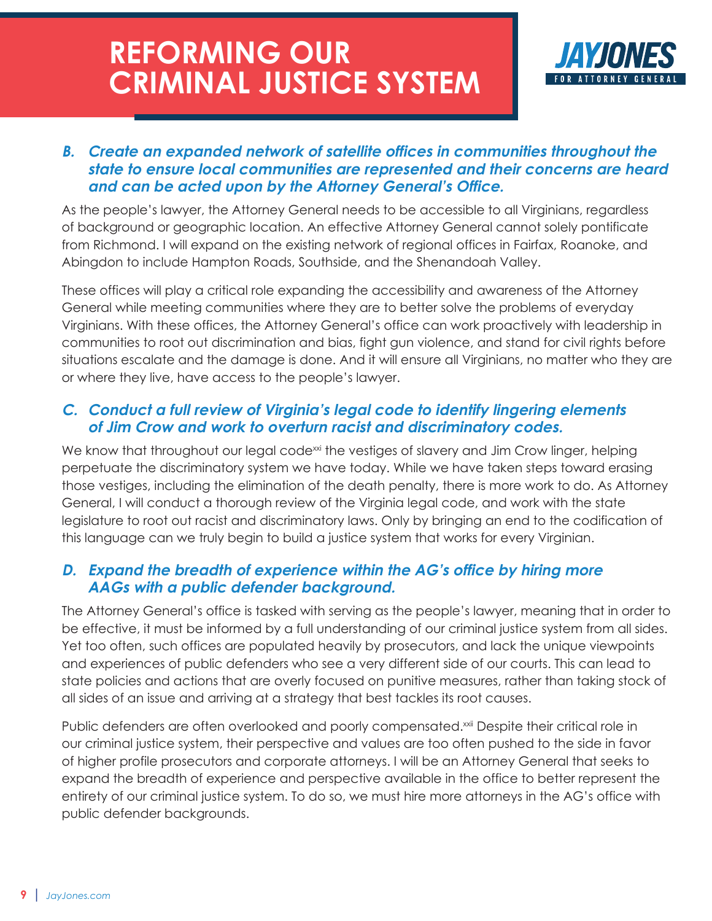

#### **B. Create an expanded network of satellite offices in communities throughout the state to ensure local communities are represented and their concerns are heard and can be acted upon by the Attorney General's Office.**

As the people's lawyer, the Attorney General needs to be accessible to all Virginians, regardless of background or geographic location. An effective Attorney General cannot solely pontificate from Richmond. I will expand on the existing network of regional offices in Fairfax, Roanoke, and Abingdon to include Hampton Roads, Southside, and the Shenandoah Valley.

These offices will play a critical role expanding the accessibility and awareness of the Attorney General while meeting communities where they are to better solve the problems of everyday Virginians. With these offices, the Attorney General's office can work proactively with leadership in communities to root out discrimination and bias, fight gun violence, and stand for civil rights before situations escalate and the damage is done. And it will ensure all Virginians, no matter who they are or where they live, have access to the people's lawyer.

#### **C. Conduct a full review of Virginia's legal code to identify lingering elements of Jim Crow and work to overturn racist and discriminatory codes.**

We know that throughout our legal code<sup>xxi</sup> the vestiges of slavery and Jim Crow linger, helping perpetuate the discriminatory system we have today. While we have taken steps toward erasing those vestiges, including the elimination of the death penalty, there is more work to do. As Attorney General, I will conduct a thorough review of the Virginia legal code, and work with the state legislature to root out racist and discriminatory laws. Only by bringing an end to the codification of this language can we truly begin to build a justice system that works for every Virginian.

#### **D. Expand the breadth of experience within the AG's office by hiring more AAGs with a public defender background.**

The Attorney General's office is tasked with serving as the people's lawyer, meaning that in order to be effective, it must be informed by a full understanding of our criminal justice system from all sides. Yet too often, such offices are populated heavily by prosecutors, and lack the unique viewpoints and experiences of public defenders who see a very different side of our courts. This can lead to state policies and actions that are overly focused on punitive measures, rather than taking stock of all sides of an issue and arriving at a strategy that best tackles its root causes.

Public defenders are often overlooked and poorly compensated.<sup>xxii</sup> Despite their critical role in our criminal justice system, their perspective and values are too often pushed to the side in favor of higher profile prosecutors and corporate attorneys. I will be an Attorney General that seeks to expand the breadth of experience and perspective available in the office to better represent the entirety of our criminal justice system. To do so, we must hire more attorneys in the AG's office with public defender backgrounds.